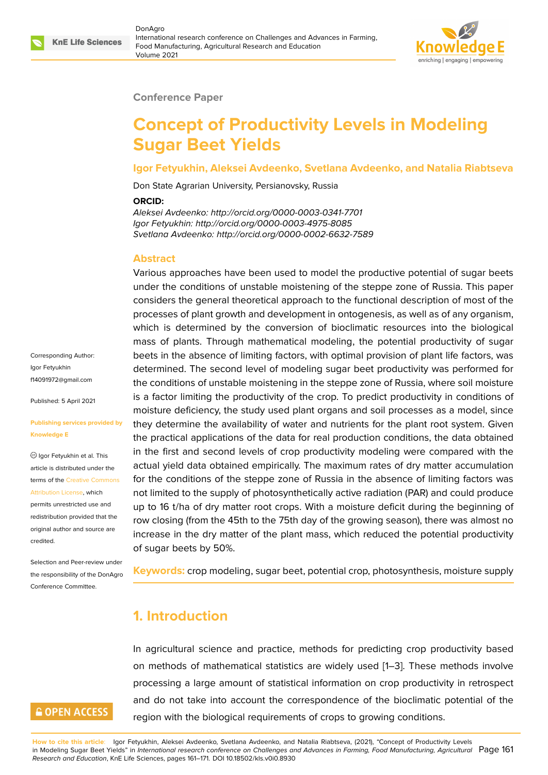

#### **Conference Paper**

# **Concept of Productivity Levels in Modeling Sugar Beet Yields**

#### **Igor Fetyukhin, Aleksei Avdeenko, Svetlana Avdeenko, and Natalia Riabtseva**

Don State Agrarian University, Persianovsky, Russia

#### **ORCID:**

*Aleksei Avdeenko: http://orcid.org/0000-0003-0341-7701 Igor Fetyukhin: http://orcid.org/0000-0003-4975-8085 Svetlana Avdeenko: http://orcid.org/0000-0002-6632-7589*

### **Abstract**

Various approaches have been used to model the productive potential of sugar beets under the conditions of unstable moistening of the steppe zone of Russia. This paper considers the general theoretical approach to the functional description of most of the processes of plant growth and development in ontogenesis, as well as of any organism, which is determined by the conversion of bioclimatic resources into the biological mass of plants. Through mathematical modeling, the potential productivity of sugar beets in the absence of limiting factors, with optimal provision of plant life factors, was determined. The second level of modeling sugar beet productivity was performed for the conditions of unstable moistening in the steppe zone of Russia, where soil moisture is a factor limiting the productivity of the crop. To predict productivity in conditions of moisture deficiency, the study used plant organs and soil processes as a model, since they determine the availability of water and nutrients for the plant root system. Given the practical applications of the data for real production conditions, the data obtained in the first and second levels of crop productivity modeling were compared with the actual yield data obtained empirically. The maximum rates of dry matter accumulation for the conditions of the steppe zone of Russia in the absence of limiting factors was not limited to the supply of photosynthetically active radiation (PAR) and could produce up to 16 t/ha of dry matter root crops. With a moisture deficit during the beginning of row closing (from the 45th to the 75th day of the growing season), there was almost no increase in the dry matter of the plant mass, which reduced the potential productivity of sugar beets by 50%.

**Keywords:** crop modeling, sugar beet, potential crop, photosynthesis, moisture supply

### **1. Introduction**

In agricultural science and practice, methods for predicting crop productivity based on methods of mathematical statistics are widely used [1–3]. These methods involve processing a large amount of statistical information on crop productivity in retrospect and do not take into account the correspondence of the bioclimatic potential of the region with the biological requirements of crops to growi[n](#page-9-0)[g c](#page-10-0)onditions.

**How to cite this article**: Igor Fetyukhin, Aleksei Avdeenko, Svetlana Avdeenko, and Natalia Riabtseva, (2021), "Concept of Productivity Levels in Modeling Sugar Beet Yields" in *International research conference on Challenges and Advances in Farming, Food Manufacturing, Agricultural* Page 161 *Research and Education*, KnE Life Sciences, pages 161–171. DOI 10.18502/kls.v0i0.8930

Corresponding Author: Igor Fetyukhin f14091972@gmail.com

Published: 5 April 2021

#### **[Publishing services pr](mailto:f14091972@gmail.com)ovided by Knowledge E**

 $\circledcirc$  Igor Fetyukhin et al. This article is distributed under the terms of the Creative Commons Attribution License, which

permits unrestricted use and redistribution provided that the original auth[or and source are](https://creativecommons.org/licenses/by/4.0/) [credited.](https://creativecommons.org/licenses/by/4.0/)

Selection and Peer-review under the responsibility of the DonAgro Conference Committee.

# **GOPEN ACCESS**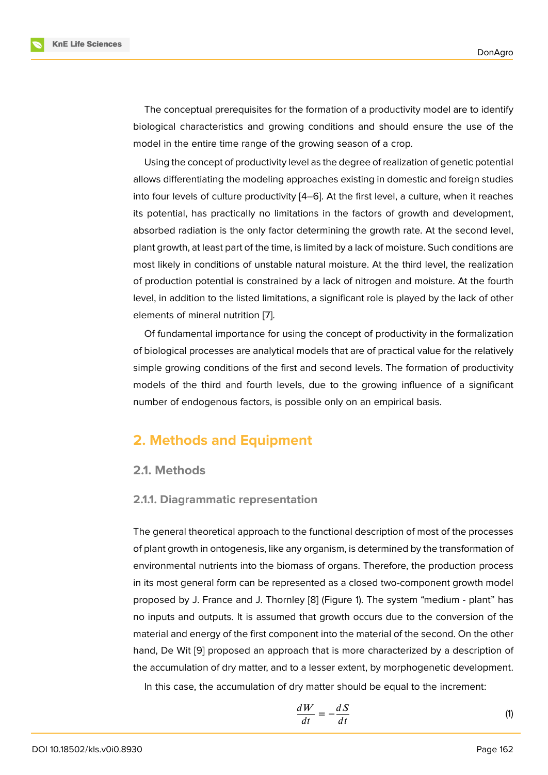The conceptual prerequisites for the formation of a productivity model are to identify biological characteristics and growing conditions and should ensure the use of the model in the entire time range of the growing season of a crop.

Using the concept of productivity level as the degree of realization of genetic potential allows differentiating the modeling approaches existing in domestic and foreign studies into four levels of culture productivity [4–6]. At the first level, a culture, when it reaches its potential, has practically no limitations in the factors of growth and development, absorbed radiation is the only factor determining the growth rate. At the second level, plant growth, at least part of the time, is [li](#page-10-1)[mit](#page-10-2)ed by a lack of moisture. Such conditions are most likely in conditions of unstable natural moisture. At the third level, the realization of production potential is constrained by a lack of nitrogen and moisture. At the fourth level, in addition to the listed limitations, a significant role is played by the lack of other elements of mineral nutrition [7].

Of fundamental importance for using the concept of productivity in the formalization of biological processes are analytical models that are of practical value for the relatively simple growing conditions of [th](#page-10-3)e first and second levels. The formation of productivity models of the third and fourth levels, due to the growing influence of a significant number of endogenous factors, is possible only on an empirical basis.

### **2. Methods and Equipment**

### **2.1. Methods**

### **2.1.1. Diagrammatic representation**

The general theoretical approach to the functional description of most of the processes of plant growth in ontogenesis, like any organism, is determined by the transformation of environmental nutrients into the biomass of organs. Therefore, the production process in its most general form can be represented as a closed two-component growth model proposed by J. France and J. Thornley [8] (Figure 1). The system "medium - plant" has no inputs and outputs. It is assumed that growth occurs due to the conversion of the material and energy of the first component into the material of the second. On the other hand, De Wit [9] proposed an approach [th](#page-10-4)at is m[or](#page-2-0)e characterized by a description of the accumulation of dry matter, and to a lesser extent, by morphogenetic development.

In this case, the accumulation of dry matter should be equal to the increment:

$$
\frac{dW}{dt} = -\frac{dS}{dt} \tag{1}
$$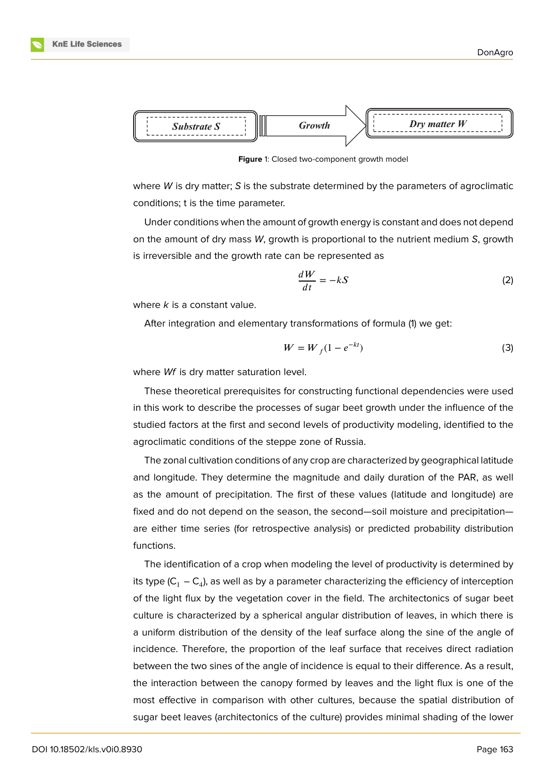



<span id="page-2-0"></span>**Figure** 1: Closed two-component growth model

where *W* is dry matter; *S* is the substrate determined by the parameters of agroclimatic conditions; t is the time parameter.

Under conditions when the amount of growth energy is constant and does not depend on the amount of dry mass *W*, growth is proportional to the nutrient medium *S*, growth is irreversible and the growth rate can be represented as

$$
\frac{dW}{dt} = -kS\tag{2}
$$

where *k* is a constant value.

After integration and elementary transformations of formula (1) we get:

$$
W = W_f (1 - e^{-kt})
$$
\n<sup>(3)</sup>

where *Wf* is dry matter saturation level.

These theoretical prerequisites for constructing functional dependencies were used in this work to describe the processes of sugar beet growth under the influence of the studied factors at the first and second levels of productivity modeling, identified to the agroclimatic conditions of the steppe zone of Russia.

The zonal cultivation conditions of any crop are characterized by geographical latitude and longitude. They determine the magnitude and daily duration of the PAR, as well as the amount of precipitation. The first of these values (latitude and longitude) are fixed and do not depend on the season, the second—soil moisture and precipitation are either time series (for retrospective analysis) or predicted probability distribution functions.

The identification of a crop when modeling the level of productivity is determined by its type (C $_{1}$  – C $_{4}$ ), as well as by a parameter characterizing the efficiency of interception of the light flux by the vegetation cover in the field. The architectonics of sugar beet culture is characterized by a spherical angular distribution of leaves, in which there is a uniform distribution of the density of the leaf surface along the sine of the angle of incidence. Therefore, the proportion of the leaf surface that receives direct radiation between the two sines of the angle of incidence is equal to their difference. As a result, the interaction between the canopy formed by leaves and the light flux is one of the most effective in comparison with other cultures, because the spatial distribution of sugar beet leaves (architectonics of the culture) provides minimal shading of the lower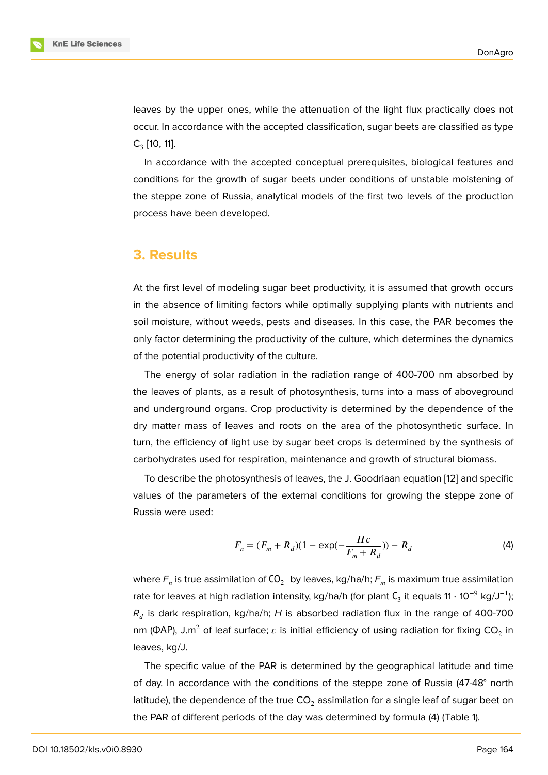leaves by the upper ones, while the attenuation of the light flux practically does not occur. In accordance with the accepted classification, sugar beets are classified as type  $C_3$  [10, 11].

In accordance with the accepted conceptual prerequisites, biological features and conditions for the growth of sugar beets under conditions of unstable moistening of the [st](#page-10-5)[epp](#page-10-6)e zone of Russia, analytical models of the first two levels of the production process have been developed.

### **3. Results**

At the first level of modeling sugar beet productivity, it is assumed that growth occurs in the absence of limiting factors while optimally supplying plants with nutrients and soil moisture, without weeds, pests and diseases. In this case, the PAR becomes the only factor determining the productivity of the culture, which determines the dynamics of the potential productivity of the culture.

The energy of solar radiation in the radiation range of 400-700 nm absorbed by the leaves of plants, as a result of photosynthesis, turns into a mass of aboveground and underground organs. Crop productivity is determined by the dependence of the dry matter mass of leaves and roots on the area of the photosynthetic surface. In turn, the efficiency of light use by sugar beet crops is determined by the synthesis of carbohydrates used for respiration, maintenance and growth of structural biomass.

To describe the photosynthesis of leaves, the J. Goodriaan equation [12] and specific values of the parameters of the external conditions for growing the steppe zone of Russia were used:

$$
F_n = (F_m + R_d)(1 - \exp(-\frac{H\epsilon}{F_m + R_d})) - R_d
$$
 (4)

where  $\mathsf{F}_n$  is true assimilation of CO $_2$  by leaves, kg/ha/h;  $\mathsf{F}_m$  is maximum true assimilation rate for leaves at high radiation intensity, kg/ha/h (for plant  $\mathsf{C}_3$  it equals 11  $\cdot$  10 $^{-9}$  kg/J $^{-1}$ ); *R* is dark respiration, kg/ha/h; *H* is absorbed radiation flux in the range of 400-700 nm (ФАР), J.m $^2$  of leaf surface;  $\varepsilon$  is initial efficiency of using radiation for fixing CO $_2$  in leaves, kg/J.

The specific value of the PAR is determined by the geographical latitude and time of day. In accordance with the conditions of the steppe zone of Russia (47-48° north latitude), the dependence of the true  $CO<sub>2</sub>$  assimilation for a single leaf of sugar beet on the PAR of different periods of the day was determined by formula (4) (Table 1).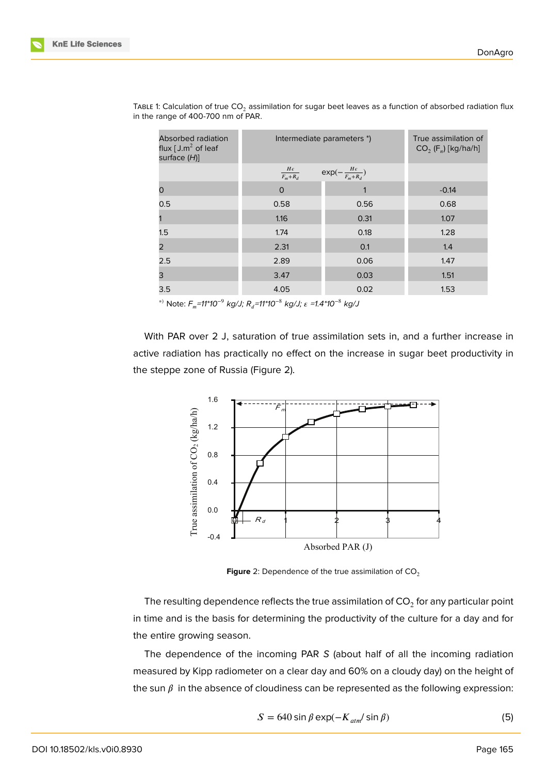| <b>Absorbed radiation</b><br>flux $[J.m^2$ of leaf<br>surface (H)] | Intermediate parameters *)  |                                   | True assimilation of<br>$CO2$ (F <sub>n</sub> ) [kg/ha/h] |
|--------------------------------------------------------------------|-----------------------------|-----------------------------------|-----------------------------------------------------------|
|                                                                    | $\frac{H\epsilon}{F_m+R_d}$ | $exp(-\frac{H\epsilon}{F_m+R_d})$ |                                                           |
| ი                                                                  | $\circ$                     |                                   | $-0.14$                                                   |
| 0.5                                                                | 0.58                        | 0.56                              | 0.68                                                      |
|                                                                    | 1.16                        | 0.31                              | 1.07                                                      |
| 1.5                                                                | 1.74                        | 0.18                              | 1.28                                                      |
| $\overline{2}$                                                     | 2.31                        | 0.1                               | 1.4                                                       |
| 2.5                                                                | 2.89                        | 0.06                              | 1.47                                                      |
| 3                                                                  | 3.47                        | 0.03                              | 1.51                                                      |
| 3.5                                                                | 4.05                        | 0.02                              | 1.53                                                      |

TABLE 1: Calculation of true CO<sub>2</sub> assimilation for sugar beet leaves as a function of absorbed radiation flux in the range of 400-700 nm of PAR.

∗) Note: *F =11\*10*−9 *kg/J; R =11\*10*−8 *kg/J; =1.4\*10*−8 *kg/J*

With PAR over 2 J, saturation of true assimilation sets in, and a further increase in active radiation has practically no effect on the increase in sugar beet productivity in the steppe zone of Russia (Figure 2).



<span id="page-4-0"></span>**Figure** 2: Dependence of the true assimilation of  $CO<sub>2</sub>$ 

The resulting dependence reflects the true assimilation of CO $_2$  for any particular point in time and is the basis for determining the productivity of the culture for a day and for the entire growing season.

The dependence of the incoming PAR *S* (about half of all the incoming radiation measured by Kipp radiometer on a clear day and 60% on a cloudy day) on the height of the sun  $\beta$  in the absence of cloudiness can be represented as the following expression:

$$
S = 640 \sin \beta \exp(-K_{atm}/\sin \beta)
$$
 (5)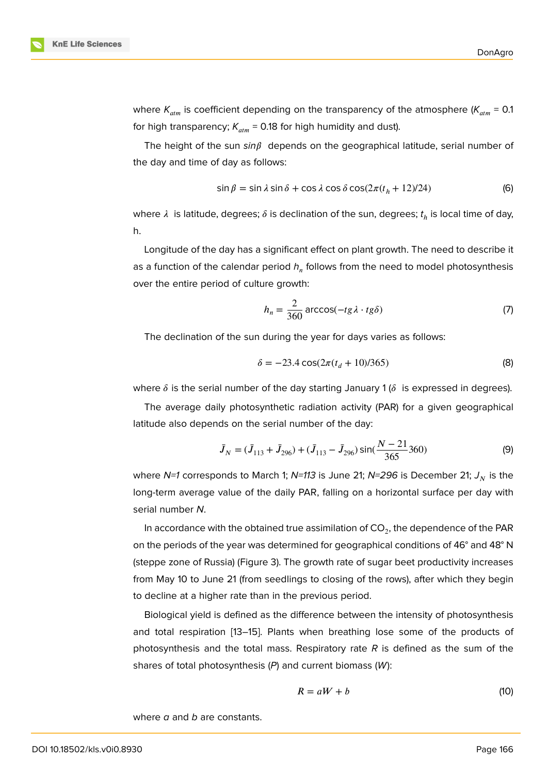where  $K_{atm}$  is coefficient depending on the transparency of the atmosphere ( $K_{atm}$  = 0.1 for high transparency;  $K_{atm}$  = 0.18 for high humidity and dust).

The height of the sun  $sin \beta$  depends on the geographical latitude, serial number of the day and time of day as follows:

$$
\sin \beta = \sin \lambda \sin \delta + \cos \lambda \cos \delta \cos(2\pi (t_h + 12)/24)
$$
 (6)

where  $\lambda$  is latitude, degrees;  $\delta$  is declination of the sun, degrees;  $t_h$  is local time of day, h.

Longitude of the day has a significant effect on plant growth. The need to describe it as a function of the calendar period  $h_n$  follows from the need to model photosynthesis over the entire period of culture growth:

$$
h_n = \frac{2}{360} \arccos(-tg\lambda \cdot tg\delta)
$$
 (7)

The declination of the sun during the year for days varies as follows:

$$
\delta = -23.4 \cos(2\pi (t_d + 10)/365) \tag{8}
$$

where  $\delta$  is the serial number of the day starting January 1 ( $\delta$  is expressed in degrees).

The average daily photosynthetic radiation activity (PAR) for a given geographical latitude also depends on the serial number of the day:

$$
\bar{J}_N = (\bar{J}_{113} + \bar{J}_{296}) + (\bar{J}_{113} - \bar{J}_{296})\sin(\frac{N-21}{365}360)
$$
 (9)

where *N=1* corresponds to March 1; *N=113* is June 21; *N=296* is December 21;  $J_N$  is the long-term average value of the daily PAR, falling on a horizontal surface per day with serial number *N*.

In accordance with the obtained true assimilation of CO $_2$ , the dependence of the PAR on the periods of the year was determined for geographical conditions of 46° and 48° N (steppe zone of Russia) (Figure 3). The growth rate of sugar beet productivity increases from May 10 to June 21 (from seedlings to closing of the rows), after which they begin to decline at a higher rate than in the previous period.

Biological yield is defined as the difference between the intensity of photosynthesis and total respiration [13–15]. Plants when breathing lose some of the products of photosynthesis and the total mass. Respiratory rate *R* is defined as the sum of the shares of total photosynthesis (*P*) and current biomass (*W*):

$$
R = aW + b \tag{10}
$$

where *a* and *b* are constants.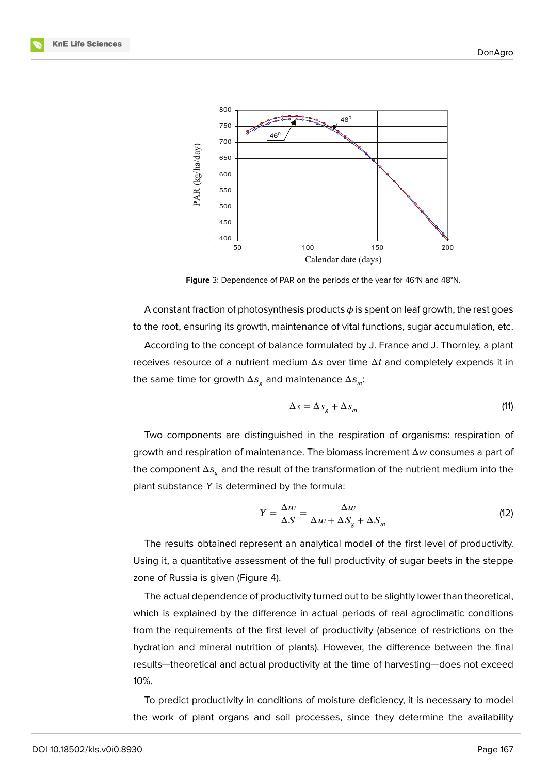

**Figure** 3: Dependence of PAR on the periods of the year for 46°N and 48°N.

A constant fraction of photosynthesis products  $\phi$  is spent on leaf growth, the rest goes to the root, ensuring its growth, maintenance of vital functions, sugar accumulation, etc.

According to the concept of balance formulated by J. France and J. Thornley, a plant receives resource of a nutrient medium Δ*s* over time Δ*t* and completely expends it in the same time for growth  $\Delta s_{_{\mathcal{B}}}$  and maintenance  $\Delta s_{_{m}}$ :

$$
\Delta s = \Delta s_g + \Delta s_m \tag{11}
$$

Two components are distinguished in the respiration of organisms: respiration of growth and respiration of maintenance. The biomass increment Δ*w* consumes a part of the component  $\Delta s_g$  and the result of the transformation of the nutrient medium into the plant substance *Y* is determined by the formula:

$$
Y = \frac{\Delta w}{\Delta S} = \frac{\Delta w}{\Delta w + \Delta S_g + \Delta S_m}
$$
 (12)

The results obtained represent an analytical model of the first level of productivity. Using it, a quantitative assessment of the full productivity of sugar beets in the steppe zone of Russia is given (Figure 4).

The actual dependence of productivity turned out to be slightly lower than theoretical, which is explained by the difference in actual periods of real agroclimatic conditions from the requirements of the f[irs](#page-7-0)t level of productivity (absence of restrictions on the hydration and mineral nutrition of plants). However, the difference between the final results—theoretical and actual productivity at the time of harvesting—does not exceed 10%.

To predict productivity in conditions of moisture deficiency, it is necessary to model the work of plant organs and soil processes, since they determine the availability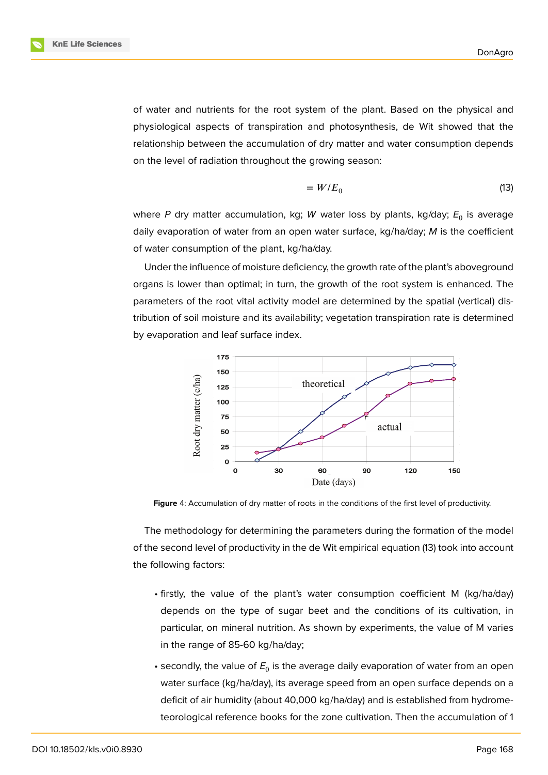

of water and nutrients for the root system of the plant. Based on the physical and physiological aspects of transpiration and photosynthesis, de Wit showed that the relationship between the accumulation of dry matter and water consumption depends on the level of radiation throughout the growing season:

$$
=W/E_0 \tag{13}
$$

where P dry matter accumulation, kg; W water loss by plants, kg/day;  $E_{0}$  is average daily evaporation of water from an open water surface, kg/ha/day; *M* is the coefficient of water consumption of the plant, kg/ha/day.

Under the influence of moisture deficiency, the growth rate of the plant's aboveground organs is lower than optimal; in turn, the growth of the root system is enhanced. The parameters of the root vital activity model are determined by the spatial (vertical) distribution of soil moisture and its availability; vegetation transpiration rate is determined by evaporation and leaf surface index.



<span id="page-7-0"></span>**Figure** 4: Accumulation of dry matter of roots in the conditions of the first level of productivity.

The methodology for determining the parameters during the formation of the model of the second level of productivity in the de Wit empirical equation (13) took into account the following factors:

- firstly, the value of the plant's water consumption coefficient M (kg/ha/day) depends on the type of sugar beet and the conditions of its cultivation, in particular, on mineral nutrition. As shown by experiments, the value of M varies in the range of 85-60 kg/ha/day;
- $\boldsymbol{\cdot}$  secondly, the value of  $E_0$  is the average daily evaporation of water from an open water surface (kg/ha/day), its average speed from an open surface depends on a deficit of air humidity (about 40,000 kg/ha/day) and is established from hydrometeorological reference books for the zone cultivation. Then the accumulation of 1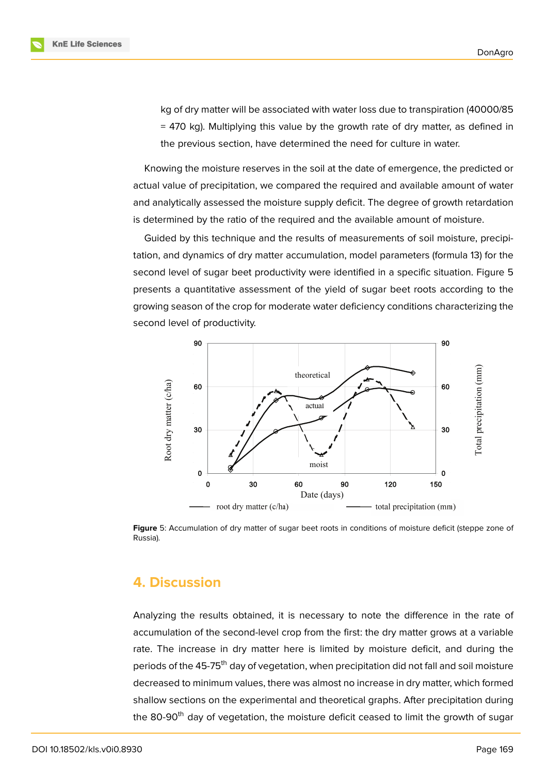kg of dry matter will be associated with water loss due to transpiration (40000/85 = 470 kg). Multiplying this value by the growth rate of dry matter, as defined in the previous section, have determined the need for culture in water.

Knowing the moisture reserves in the soil at the date of emergence, the predicted or actual value of precipitation, we compared the required and available amount of water and analytically assessed the moisture supply deficit. The degree of growth retardation is determined by the ratio of the required and the available amount of moisture.

Guided by this technique and the results of measurements of soil moisture, precipitation, and dynamics of dry matter accumulation, model parameters (formula 13) for the second level of sugar beet productivity were identified in a specific situation. Figure 5 presents a quantitative assessment of the yield of sugar beet roots according to the growing season of the crop for moderate water deficiency conditions characterizing the second level of productivity.



**Figure** 5: Accumulation of dry matter of sugar beet roots in conditions of moisture deficit (steppe zone of Russia).

### **4. Discussion**

Analyzing the results obtained, it is necessary to note the difference in the rate of accumulation of the second-level crop from the first: the dry matter grows at a variable rate. The increase in dry matter here is limited by moisture deficit, and during the periods of the 45-75<sup>th</sup> day of vegetation, when precipitation did not fall and soil moisture decreased to minimum values, there was almost no increase in dry matter, which formed shallow sections on the experimental and theoretical graphs. After precipitation during the 80-90<sup>th</sup> day of vegetation, the moisture deficit ceased to limit the growth of sugar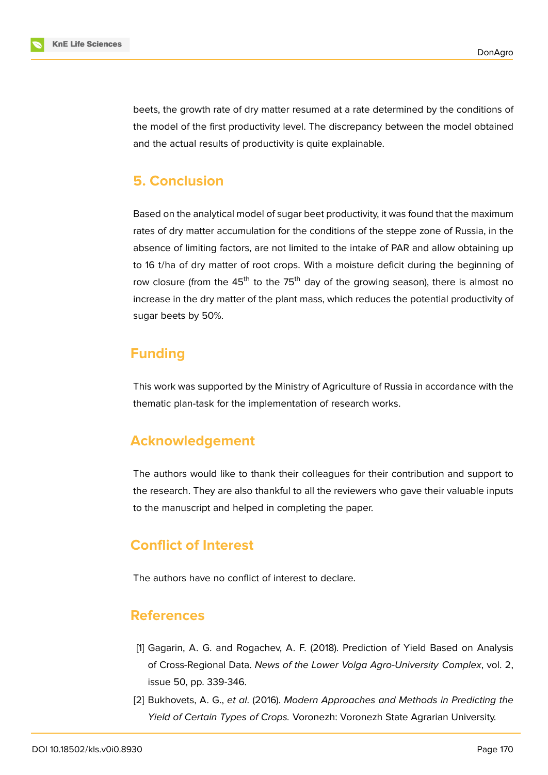

beets, the growth rate of dry matter resumed at a rate determined by the conditions of the model of the first productivity level. The discrepancy between the model obtained and the actual results of productivity is quite explainable.

# **5. Conclusion**

Based on the analytical model of sugar beet productivity, it was found that the maximum rates of dry matter accumulation for the conditions of the steppe zone of Russia, in the absence of limiting factors, are not limited to the intake of PAR and allow obtaining up to 16 t/ha of dry matter of root crops. With a moisture deficit during the beginning of row closure (from the  $45<sup>th</sup>$  to the 75<sup>th</sup> day of the growing season), there is almost no increase in the dry matter of the plant mass, which reduces the potential productivity of sugar beets by 50%.

### **Funding**

This work was supported by the Ministry of Agriculture of Russia in accordance with the thematic plan-task for the implementation of research works.

### **Acknowledgement**

The authors would like to thank their colleagues for their contribution and support to the research. They are also thankful to all the reviewers who gave their valuable inputs to the manuscript and helped in completing the paper.

# **Conflict of Interest**

The authors have no conflict of interest to declare.

### **References**

- <span id="page-9-0"></span>[1] Gagarin, A. G. and Rogachev, A. F. (2018). Prediction of Yield Based on Analysis of Cross-Regional Data. *News of the Lower Volga Agro-University Complex*, vol. 2, issue 50, pp. 339-346.
- [2] Bukhovets, A. G., *et al*. (2016). *Modern Approaches and Methods in Predicting the Yield of Certain Types of Crops.* Voronezh: Voronezh State Agrarian University.